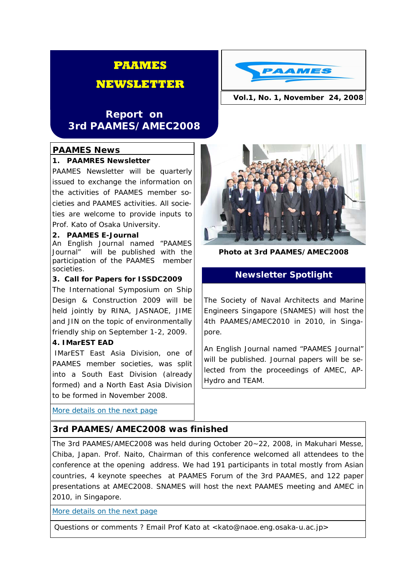# **PAAMES**

# **NEWSLETTER**

# **Report on 3rd PAAMES/AMEC2008**

#### **PAAMES News**

#### **1. PAAMRES Newsletter**

PAAMES Newsletter will be quarterly issued to exchange the information on the activities of PAAMES member societies and PAAMES activities. All societies are welcome to provide inputs to Prof. Kato of Osaka University.

#### **2. PAAMES E-Journal**

An English Journal named "PAAMES Journal" will be published with the participation of the PAAMES member societies.

#### **3. Call for Papers for ISSDC2009**

The International Symposium on Ship Design & Construction 2009 will be held jointly by RINA, JASNAOE, JIME and JIN on the topic of environmentally friendly ship on September 1-2, 2009.

#### **4. IMarEST EAD**

IMarEST East Asia Division, one of PAAMES member societies, was split into a South East Division (already formed) and a North East Asia Division to be formed in November 2008.

More details on the next page

## **3rd PAAMES/AMEC2008 was finished**

The 3rd PAAMES/AMEC2008 was held during October 20~22, 2008, in Makuhari Messe, Chiba, Japan. Prof. Naito, Chairman of this conference welcomed all attendees to the conference at the opening address. We had 191 participants in total mostly from Asian countries, 4 keynote speeches at PAAMES Forum of the 3rd PAAMES, and 122 paper presentations at AMEC2008. SNAMES will host the next PAAMES meeting and AMEC in 2010, in Singapore.

More details on the next page

Questions or comments ? Email Prof Kato at <kato@naoe.eng.osaka-u.ac.jp>





**Photo at 3rd PAAMES/AMEC2008** 

# **Newsletter Spotlight**

The Society of Naval Architects and Marine Engineers Singapore (SNAMES) will host the 4th PAAMES/AMEC2010 in 2010, in Singapore.

An English Journal named "PAAMES Journal" will be published. Journal papers will be selected from the proceedings of AMEC, AP-Hydro and TEAM.